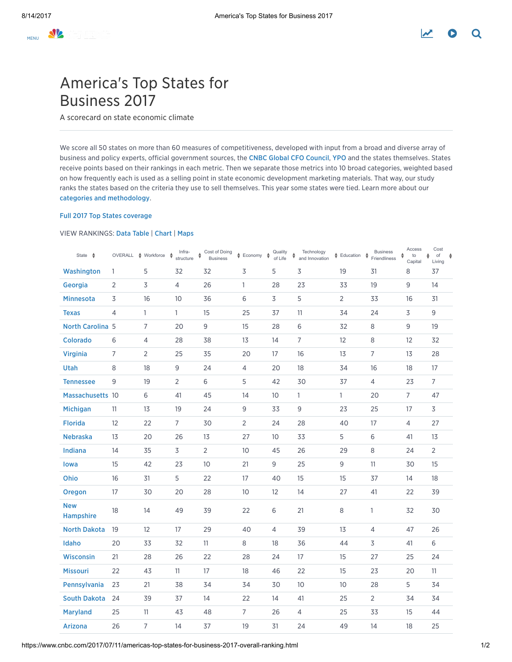# America's Top States for Business 2017

A scorecard on state economic climate

We score all 50 states on more than 60 measures of competitiveness, developed with input from a broad and diverse array of business and policy experts, official government sources, the CNBC Global CFO [Council,](https://www.cnbc.com/global-cfo-council/) [YPO](https://www.cnbc.com/young-presidents-organization/) and the states themselves. States receive points based on their rankings in each metric. Then we separate those metrics into 10 broad categories, weighted based on how frequently each is used as a selling point in state economic development marketing materials. That way, our study ranks the states based on the criteria they use to sell themselves. This year some states were tied. Learn more about our categories and [methodology](https://www.cnbc.com/2017/06/12/heres-how-your-state-can-become-a-cnbc-top-state-for-business.html).

## Full 2017 Top States [coverage](https://www.cnbc.com/2017/07/11/americas-top-states-for-business-2017.html)

## VIEW RANKINGS: Data [Table](https://www.cnbc.com/2017/07/11/americas-top-states-for-business-2017-overall-ranking.html) | [Chart](https://www.cnbc.com/2017/07/11/how-does-your-state-stack-up.html) | [Maps](https://www.cnbc.com/2017/07/11/a-snapshot-of-americas-top-states-for-business-2017.html)

| State $\triangle$       |                         | OVERALL $\underset{\blacktriangledown}{\Leftrightarrow}$ Workforce $\underset{\blacktriangle}{\Leftrightarrow}$ Infra- |                | ♦ Cost of Doing<br>Business | $\textcolor{red}{\bigstar}$ Economy $\textcolor{red}{\bigstar}$ | Quality<br>of Life | Technology<br>and Innovation<br>$\spadesuit$ | $\frac{4}{9}$ Education | <b>Business</b><br>$\ddot{\phantom{1}}$<br>Friendliness | Access<br>♦<br>to | Cost<br>of<br>♦<br>$\ddot{\phantom{1}}$<br>Living |
|-------------------------|-------------------------|------------------------------------------------------------------------------------------------------------------------|----------------|-----------------------------|-----------------------------------------------------------------|--------------------|----------------------------------------------|-------------------------|---------------------------------------------------------|-------------------|---------------------------------------------------|
| Washington              | 1                       | 5                                                                                                                      | 32             | 32                          | 3                                                               | 5                  | 3                                            | 19                      | 31                                                      | Capital<br>8      | 37                                                |
| Georgia                 | 2                       | 3                                                                                                                      | 4              | 26                          | 1                                                               | 28                 | 23                                           | 33                      | 19                                                      | 9                 | 14                                                |
| <b>Minnesota</b>        | $\overline{\mathsf{3}}$ | 16                                                                                                                     | 10             | 36                          | 6                                                               | $\overline{3}$     | 5                                            | $\overline{2}$          | 33                                                      | 16                | 31                                                |
| <b>Texas</b>            | 4                       | $\mathbf{1}$                                                                                                           | $\mathbf{1}$   | 15                          | 25                                                              | 37                 | 11                                           | 34                      | 24                                                      | 3                 | 9                                                 |
| <b>North Carolina 5</b> |                         | $\overline{7}$                                                                                                         | 20             | 9                           | 15                                                              | 28                 | 6                                            | 32                      | 8                                                       | 9                 | 19                                                |
| <b>Colorado</b>         | 6                       | 4                                                                                                                      | 28             | 38                          | 13                                                              | 14                 | $\overline{7}$                               | 12                      | 8                                                       | 12                | 32                                                |
| <b>Virginia</b>         | $\overline{7}$          | $\overline{2}$                                                                                                         | 25             | 35                          | 20                                                              | 17                 | 16                                           | 13                      | $\overline{7}$                                          | 13                | 28                                                |
| <b>Utah</b>             | 8                       | 18                                                                                                                     | 9              | 24                          | 4                                                               | 20                 | 18                                           | 34                      | 16                                                      | 18                | 17                                                |
| <b>Tennessee</b>        | 9                       | 19                                                                                                                     | $\overline{2}$ | 6                           | 5                                                               | 42                 | 30                                           | 37                      | $\overline{4}$                                          | 23                | $7^{\circ}$                                       |
| Massachusetts 10        |                         | 6                                                                                                                      | 41             | 45                          | 14                                                              | 10                 | $\mathbf{1}$                                 | $\mathbf{1}$            | 20                                                      | $\overline{7}$    | 47                                                |
| Michigan                | 11                      | 13                                                                                                                     | 19             | 24                          | 9                                                               | 33                 | 9                                            | 23                      | 25                                                      | 17                | 3                                                 |
| <b>Florida</b>          | 12                      | 22                                                                                                                     | $\overline{7}$ | 30                          | $\overline{2}$                                                  | 24                 | 28                                           | 40                      | 17                                                      | $\overline{4}$    | 27                                                |
| <b>Nebraska</b>         | 13                      | 20                                                                                                                     | 26             | 13                          | 27                                                              | 10 <sup>°</sup>    | 33                                           | 5                       | 6                                                       | 41                | 13                                                |
| Indiana                 | 14                      | 35                                                                                                                     | 3              | $\overline{2}$              | 10 <sup>°</sup>                                                 | 45                 | 26                                           | 29                      | 8                                                       | 24                | $\overline{2}$                                    |
| lowa                    | 15                      | 42                                                                                                                     | 23             | 10 <sup>°</sup>             | 21                                                              | 9                  | 25                                           | 9                       | 11                                                      | 30                | 15                                                |
| Ohio                    | 16                      | 31                                                                                                                     | 5              | 22                          | 17                                                              | 40                 | 15                                           | 15                      | 37                                                      | 14                | 18                                                |
| <b>Oregon</b>           | 17                      | 30                                                                                                                     | 20             | 28                          | 10 <sup>°</sup>                                                 | 12                 | 14                                           | 27                      | 41                                                      | 22                | 39                                                |
| <b>New</b><br>Hampshire | 18                      | 14                                                                                                                     | 49             | 39                          | 22                                                              | $\,$ 6             | 21                                           | $\,8\,$                 | $\mathbf{1}$                                            | 32                | 30                                                |
| <b>North Dakota</b>     | 19                      | 12                                                                                                                     | 17             | 29                          | 40                                                              | $\overline{4}$     | 39                                           | 13                      | 4                                                       | 47                | 26                                                |
| Idaho                   | 20                      | 33                                                                                                                     | 32             | 11                          | 8                                                               | 18                 | 36                                           | 44                      | 3                                                       | 41                | 6                                                 |
| <b>Wisconsin</b>        | 21                      | 28                                                                                                                     | 26             | 22                          | 28                                                              | 24                 | 17                                           | 15                      | 27                                                      | 25                | 24                                                |
| <b>Missouri</b>         | 22                      | 43                                                                                                                     | 11             | 17                          | 18                                                              | 46                 | 22                                           | 15                      | 23                                                      | 20                | 11                                                |
| Pennsylvania            | 23                      | 21                                                                                                                     | 38             | 34                          | 34                                                              | 30                 | 10                                           | 10                      | 28                                                      | 5                 | 34                                                |
| <b>South Dakota</b>     | 24                      | 39                                                                                                                     | 37             | 14                          | 22                                                              | 14                 | 41                                           | 25                      | $\overline{2}$                                          | 34                | 34                                                |
| <b>Maryland</b>         | 25                      | 11                                                                                                                     | 43             | 48                          | 7                                                               | 26                 | 4                                            | 25                      | 33                                                      | 15                | 44                                                |
| Arizona                 | 26                      | $\overline{7}$                                                                                                         | 14             | 37                          | 19                                                              | 31                 | 24                                           | 49                      | 14                                                      | 18                | 25                                                |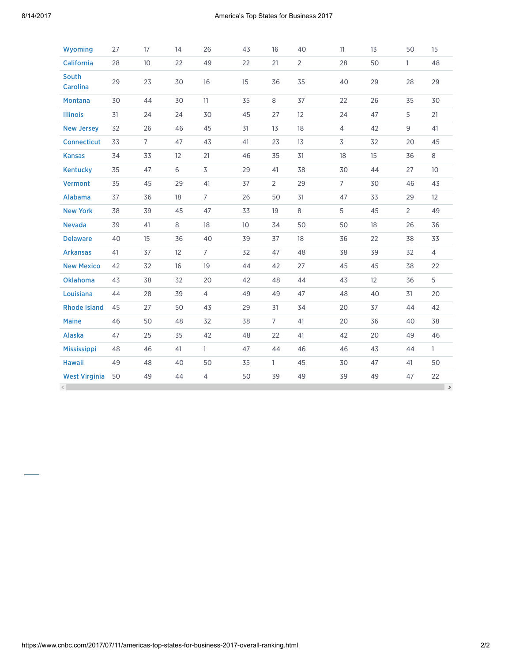| Wyoming                  | 27 | 17              | 14 | 26             | 43              | 16             | 40             | 11             | 13 | 50             | 15              |
|--------------------------|----|-----------------|----|----------------|-----------------|----------------|----------------|----------------|----|----------------|-----------------|
| <b>California</b>        | 28 | 10 <sup>°</sup> | 22 | 49             | 22              | 21             | $\overline{2}$ | 28             | 50 | $\mathbf{1}$   | 48              |
| South<br><b>Carolina</b> | 29 | 23              | 30 | 16             | 15              | 36             | 35             | 40             | 29 | 28             | 29              |
| <b>Montana</b>           | 30 | 44              | 30 | 11             | 35              | 8              | 37             | 22             | 26 | 35             | 30              |
| <b>Illinois</b>          | 31 | 24              | 24 | 30             | 45              | 27             | 12             | 24             | 47 | 5              | 21              |
| <b>New Jersey</b>        | 32 | 26              | 46 | 45             | 31              | 13             | 18             | $\overline{4}$ | 42 | 9              | 41              |
| <b>Connecticut</b>       | 33 | $\overline{7}$  | 47 | 43             | 41              | 23             | 13             | 3              | 32 | 20             | 45              |
| <b>Kansas</b>            | 34 | 33              | 12 | 21             | 46              | 35             | 31             | 18             | 15 | 36             | 8               |
| <b>Kentucky</b>          | 35 | 47              | 6  | 3              | 29              | 41             | 38             | 30             | 44 | 27             | 10 <sup>°</sup> |
| <b>Vermont</b>           | 35 | 45              | 29 | 41             | 37              | $\overline{2}$ | 29             | $\overline{7}$ | 30 | 46             | 43              |
| Alabama                  | 37 | 36              | 18 | $\overline{7}$ | 26              | 50             | 31             | 47             | 33 | 29             | 12              |
| <b>New York</b>          | 38 | 39              | 45 | 47             | 33              | 19             | 8              | 5              | 45 | $\overline{2}$ | 49              |
| <b>Nevada</b>            | 39 | 41              | 8  | 18             | 10 <sup>°</sup> | 34             | 50             | 50             | 18 | 26             | 36              |
| <b>Delaware</b>          | 40 | 15              | 36 | 40             | 39              | 37             | 18             | 36             | 22 | 38             | 33              |
| <b>Arkansas</b>          | 41 | 37              | 12 | 7              | 32              | 47             | 48             | 38             | 39 | 32             | $\overline{4}$  |
| <b>New Mexico</b>        | 42 | 32              | 16 | 19             | 44              | 42             | 27             | 45             | 45 | 38             | 22              |
| <b>Oklahoma</b>          | 43 | 38              | 32 | 20             | 42              | 48             | 44             | 43             | 12 | 36             | 5               |
| Louisiana                | 44 | 28              | 39 | $\overline{4}$ | 49              | 49             | 47             | 48             | 40 | 31             | 20              |
| <b>Rhode Island</b>      | 45 | 27              | 50 | 43             | 29              | 31             | 34             | 20             | 37 | 44             | 42              |
| <b>Maine</b>             | 46 | 50              | 48 | 32             | 38              | $\overline{7}$ | 41             | 20             | 36 | 40             | 38              |
| Alaska                   | 47 | 25              | 35 | 42             | 48              | 22             | 41             | 42             | 20 | 49             | 46              |
| <b>Mississippi</b>       | 48 | 46              | 41 | 1              | 47              | 44             | 46             | 46             | 43 | 44             | $\mathbf{1}$    |
| <b>Hawaii</b>            | 49 | 48              | 40 | 50             | 35              | $\mathbf{1}$   | 45             | 30             | 47 | 41             | 50              |
| <b>West Virginia</b>     | 50 | 49              | 44 | $\overline{4}$ | 50              | 39             | 49             | 39             | 49 | 47             | 22              |
|                          |    |                 |    |                |                 |                |                |                |    |                | $\rightarrow$   |

https://www.cnbc.com/2017/07/11/americas-top-states-for-business-2017-overall-ranking.html 2/2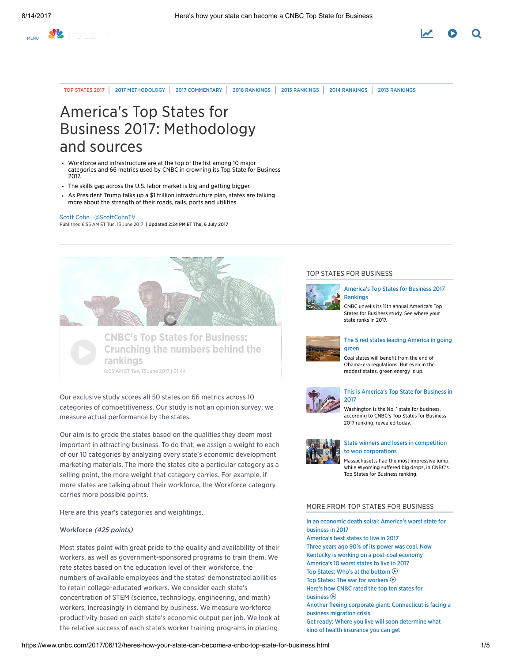

TOP [STATES](https://www.cnbc.com/americas-top-states-for-business/) 2017 | 2017 [METHODOLOGY](http://www.cnbc.com/id/104524458) | 2017 [COMMENTARY](https://www.cnbc.com/top-states-commentary/) | 2016 [RANKINGS](https://www.cnbc.com/id/100824779) | 2015 RANKINGS | 2014 RANKINGS | 2013 RANKINGS

# America's Top States for Business 2017: Methodology and sources

- Workforce and infrastructure are at the top of the list among 10 major categories and 66 metrics used by CNBC in crowning its Top State for Business 2017.
- The skills gap across the U.S. labor market is big and getting bigger.
- As President Trump talks up a \$1 trillion infrastructure plan, states are talking more about the strength of their roads, rails, ports and utilities.

#### Scott [Cohn](https://www.cnbc.com/scott-cohn/) | [@ScottCohnTV](https://twitter.com/ScottCohnTV)

Published 6:55 AM ET Tue, 13 June 2017 | Updated 2:24 PM ET Thu, 6 July 2017



CNBC's Top States for Business: Crunching the numbers behind the **CRISE**<br>Trankings 8:05 AM ET Tue, 13 June 2017 | 01:44

Our exclusive study scores all 50 states on 66 metrics across 10 categories of competitiveness. Our study is not an opinion survey; we measure actual performance by the states.

Our aim is to grade the states based on the qualities they deem most important in attracting business. To do that, we assign a weight to each of our 10 categories by analyzing every state's economic development marketing materials. The more the states cite a particular category as a selling point, the more weight that category carries. For example, if more states are talking about their workforce, the Workforce category carries more possible points.

Here are this year's categories and weightings.

## Workforce (425 points)

Most states point with great pride to the quality and availability of their workers, as well as government-sponsored programs to train them. We rate states based on the education level of their workforce, the numbers of available employees and the states' demonstrated abilities to retain college-educated workers. We consider each state's concentration of STEM (science, technology, engineering, and math) workers, increasingly in demand by business. We measure workforce productivity based on each state's economic output per job. We look at the relative success of each state's worker training programs in placing

#### TOP STATES FOR BUSINESS



#### [America's](https://www.cnbc.com/2017/07/11/americas-top-states-for-business-2017-overall-ranking.html) Top States for Business 2017 Rankings

CNBC unveils its 11th annual America's Top States for Business study. See where your state ranks in 2017.



### The 5 red states leading [America](https://www.cnbc.com/2017/07/26/5-red-states-leading-america-in-going-green-energy.html) in going green

Coal states will benefit from the end of Obama-era regulations. But even in the reddest states, green energy is up.



#### This is [America's](https://www.cnbc.com/2017/07/11/washington-is-americas-top-state-for-business-in-2017.html) Top State for Business in 2017

Washington is the No. 1 state for business, according to CNBC's Top States for Business 2017 ranking, revealed today.



#### State winners and losers in competition to woo [corporations](https://www.cnbc.com/2017/07/11/biggest-state-winners-and-losers-in-competition-for-companies-jobs.html)

Massachusetts had the most impressive jump, while Wyoming suffered big drops, in CNBC's Top States for Business ranking.

## MORE FROM TOP STATES FOR BUSINESS

In an economic death spiral: [America's](https://www.cnbc.com/2017/07/11/west-virginia-americas-worst-state-for-business-in-2017.html) worst state for business in 2017 [America's](https://www.cnbc.com/2017/07/11/americas-top-states-to-live-in-2017.html) best states to live in 2017 Three years ago 90% of its power was coal. Now Kentucky is working on a [post-coal](https://www.cnbc.com/2017/07/18/post-coal-country-kentucky-bets-on-renewable-energy-metals-mining.html) economy [America's](https://www.cnbc.com/2017/07/11/americas-10-worst-states-to-live-in-2017.html) 10 worst states to live in 2017 Top States: Who's at the [bottom](https://www.cnbc.com/video/2017/07/12/top-states-whos-at-the-bottom.html)  $\odot$ Top States: The war for [workers](https://www.cnbc.com/video/2017/07/12/top-states-the-war-for-workers.html)  $\odot$ Here's how CNBC rated the top ten states for [business](https://www.cnbc.com/video/2017/07/12/heres-how-cnbc-rated-the-top-ten-states-for-business.html)  $\odot$ Another fleeing corporate giant: [Connecticut](https://www.cnbc.com/2017/07/11/connecticut-is-facing-a-corporate-migration-crisis.html) is facing a business migration crisis Get ready: Where you live will soon [determine](https://www.cnbc.com/2017/07/11/where-you-live-will-soon-determine-what-health-insurance-you-can-get.html) what kind of health insurance you can get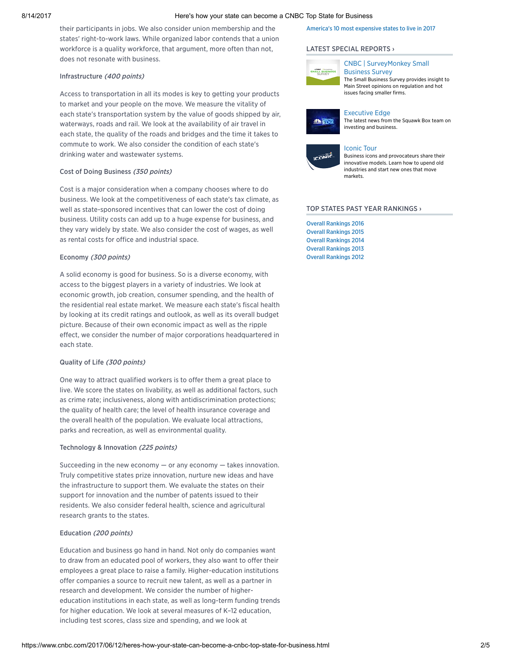#### 8/14/2017 Here's how your state can become a CNBC Top State for Business

their participants in jobs. We also consider union membership and the states' right-to-work laws. While organized labor contends that a union workforce is a quality workforce, that argument, more often than not, does not resonate with business.

#### Infrastructure (400 points)

Access to transportation in all its modes is key to getting your products to market and your people on the move. We measure the vitality of each state's transportation system by the value of goods shipped by air, waterways, roads and rail. We look at the availability of air travel in each state, the quality of the roads and bridges and the time it takes to commute to work. We also consider the condition of each state's drinking water and wastewater systems.

#### Cost of Doing Business (350 points)

Cost is a major consideration when a company chooses where to do business. We look at the competitiveness of each state's tax climate, as well as state-sponsored incentives that can lower the cost of doing business. Utility costs can add up to a huge expense for business, and they vary widely by state. We also consider the cost of wages, as well as rental costs for office and industrial space.

## Economy (300 points)

A solid economy is good for business. So is a diverse economy, with access to the biggest players in a variety of industries. We look at economic growth, job creation, consumer spending, and the health of the residential real estate market. We measure each state's fiscal health by looking at its credit ratings and outlook, as well as its overall budget picture. Because of their own economic impact as well as the ripple effect, we consider the number of major corporations headquartered in each state.

### Quality of Life (300 points)

One way to attract qualified workers is to offer them a great place to live. We score the states on livability, as well as additional factors, such as crime rate; inclusiveness, along with antidiscrimination protections; the quality of health care; the level of health insurance coverage and the overall health of the population. We evaluate local attractions, parks and recreation, as well as environmental quality.

#### Technology & Innovation (225 points)

Succeeding in the new economy  $-$  or any economy  $-$  takes innovation. Truly competitive states prize innovation, nurture new ideas and have the infrastructure to support them. We evaluate the states on their support for innovation and the number of patents issued to their residents. We also consider federal health, science and agricultural research grants to the states.

## Education (200 points)

Education and business go hand in hand. Not only do companies want to draw from an educated pool of workers, they also want to offer their employees a great place to raise a family. Higher-education institutions offer companies a source to recruit new talent, as well as a partner in research and development. We consider the number of highereducation institutions in each state, as well as long-term funding trends for higher education. We look at several measures of K–12 education, including test scores, class size and spending, and we look at

## America's 10 most [expensive](https://www.cnbc.com/2017/07/11/americas-10-most-expensive-states-to-live-in-2017.html) states to live in 2017

#### LATEST SPECIAL [REPORTS](https://www.cnbc.com/special-reports/) ›



## CNBC | [SurveyMonkey](https://www.cnbc.com/cnbc-survey-monkey-small-business-survey/) Small Business Survey

The Small Business Survey provides insight to Main Street opinions on regulation and hot issues facing smaller firms.



# [Executive](https://www.cnbc.com/executive-edge/) Edge

The latest news from the Squawk Box team on investing and business.



#### [Iconic](https://www.cnbc.com/road-to-iconic/) Tour

Business icons and provocateurs share their innovative models. Learn how to upend old industries and start new ones that move markets.

#### TOP STATES PAST YEAR [RANKINGS](https://www.cnbc.com/top-states-past-year-rankings/) ›

Overall [Rankings](http://www.cnbc.com/2016/07/12/americas-top-states-for-business-2016-the-list-and-ranking.html) 2016 Overall [Rankings](https://www.cnbc.com/2015/06/24/americas-top-states-for-business.html) 2015 Overall [Rankings](https://www.cnbc.com/2014/06/24/americas-top-states-for-business.html) 2014 Overall [Rankings](https://www.cnbc.com/id/100824779) 2013 Overall [Rankings](https://www.cnbc.com/id/100016697) 2012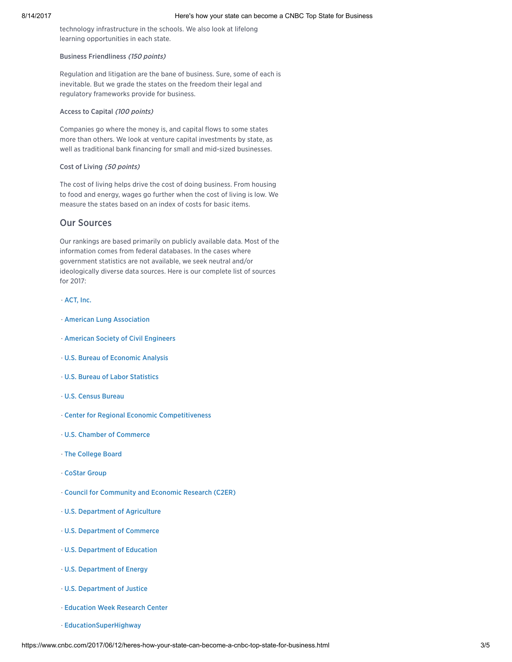technology infrastructure in the schools. We also look at lifelong learning opportunities in each state.

## Business Friendliness (150 points)

Regulation and litigation are the bane of business. Sure, some of each is inevitable. But we grade the states on the freedom their legal and regulatory frameworks provide for business.

### Access to Capital (100 points)

Companies go where the money is, and capital flows to some states more than others. We look at venture capital investments by state, as well as traditional bank financing for small and mid-sized businesses.

## Cost of Living (50 points)

The cost of living helps drive the cost of doing business. From housing to food and energy, wages go further when the cost of living is low. We measure the states based on an index of costs for basic items.

## Our Sources

Our rankings are based primarily on publicly available data. Most of the information comes from federal databases. In the cases where government statistics are not available, we seek neutral and/or ideologically diverse data sources. Here is our complete list of sources for 2017:

### · [ACT,](http://www.act.org/) Inc.

- · American Lung [Association](http://www.lung.org/)
- · American Society of Civil [Engineers](http://www.asce.org/)
- · U.S. Bureau of [Economic](http://www.bea.gov/) Analysis
- · U.S. Bureau of Labor [Statistics](http://www.bls.gov/)
- · U.S. [Census](http://www.census.gov/) Bureau
- · Center for Regional Economic [Competitiveness](http://creconline.org/)
- · U.S. Chamber of [Commerce](https://www.uschamber.com/)
- · The [College](https://www.collegeboard.org/) Board
- · [CoStar](http://www.costar.com/) Group
- · Council for [Community](http://www.c2er.org/) and Economic Research (C2ER)
- · U.S. [Department](http://www.usda.gov/) of Agriculture
- · U.S. [Department](https://www.commerce.gov/) of Commerce
- · U.S. [Department](http://www.ed.gov/) of Education
- · U.S. [Department](http://www.energy.gov/) of Energy
- · U.S. [Department](http://www.justice.gov/) of Justice
- · [Education](http://www.edweek.org/rc/) Week Research Center
- · [EducationSuperHighway](https://www.educationsuperhighway.org/)